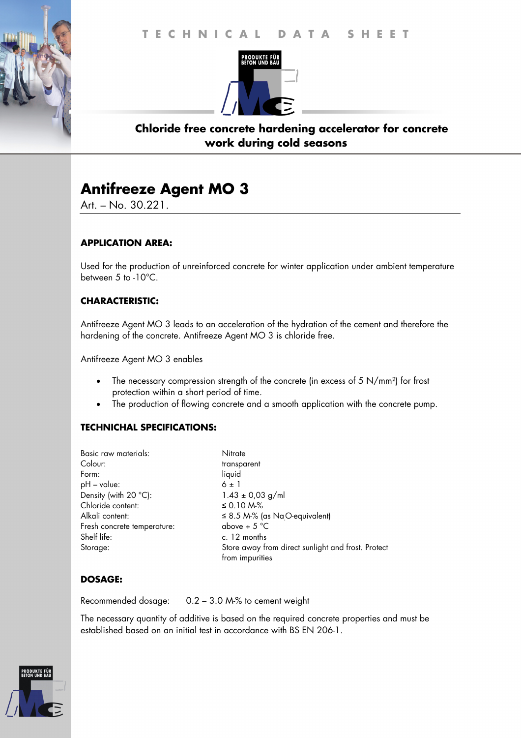# **T E C H N I C A L D A T A S H E E T T E C H N I C A L D A T A S H E E T**



## **Chloride free concrete hardening accelerator for concrete work during cold seasons**

## **Antifreeze Agent MO 3**

Art. – No. 30.221.

### **APPLICATION AREA:**

Used for the production of unreinforced concrete for winter application under ambient temperature between 5 to -10°C.

## **CHARACTERISTIC:**

Antifreeze Agent MO 3 leads to an acceleration of the hydration of the cement and therefore the hardening of the concrete. Antifreeze Agent MO 3 is chloride free.

Antifreeze Agent MO 3 enables

- The necessary compression strength of the concrete (in excess of 5 N/mm²) for frost protection within a short period of time.
- The production of flowing concrete and a smooth application with the concrete pump.

### **TECHNICHAL SPECIFICATIONS:**

| Nitrate                                                               |
|-----------------------------------------------------------------------|
| transparent                                                           |
| liquid                                                                |
| $6 \pm 1$                                                             |
| $1.43 \pm 0.03$ g/ml                                                  |
| ≤ 0.10 M-%                                                            |
| $\leq$ 8.5 M-% (as NaO-equivalent)                                    |
| above + $5^{\circ}$ C                                                 |
| c. 12 months                                                          |
| Store away from direct sunlight and frost. Protect<br>from impurities |
|                                                                       |

### **DOSAGE:**

Recommended dosage: 0.2 – 3.0 M-% to cement weight

The necessary quantity of additive is based on the required concrete properties and must be established based on an initial test in accordance with BS EN 206-1.